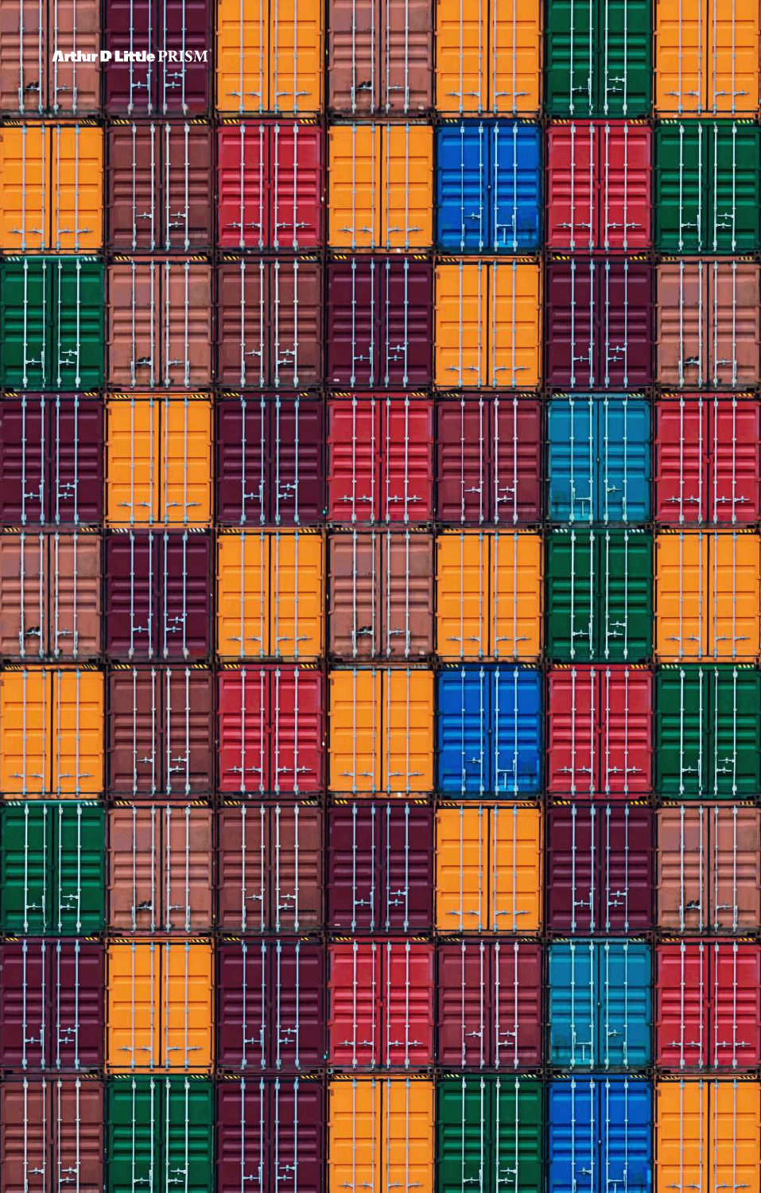# 

H

**RANCH**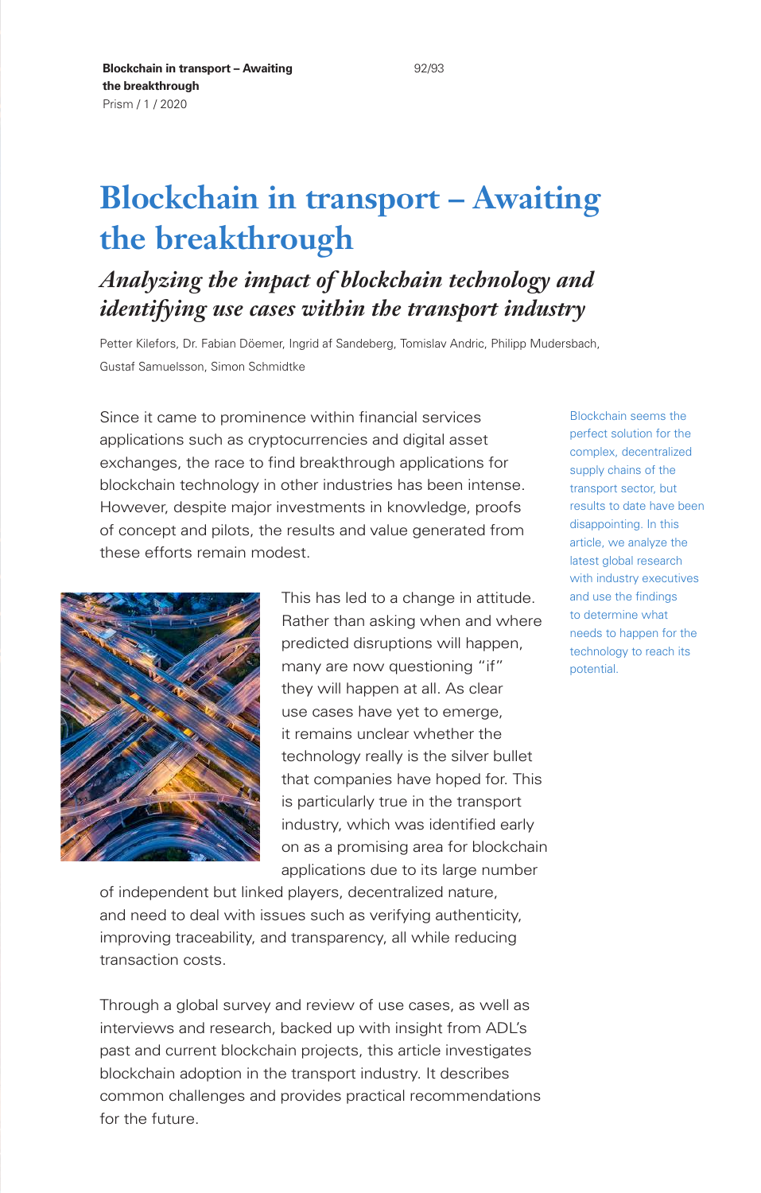# **Blockchain in transport – Awaiting the breakthrough**

# *Analyzing the impact of blockchain technology and identifying use cases within the transport industry*

Petter Kilefors, Dr. Fabian Döemer, Ingrid af Sandeberg, Tomislav Andric, Philipp Mudersbach, Gustaf Samuelsson, Simon Schmidtke

Since it came to prominence within financial services applications such as cryptocurrencies and digital asset exchanges, the race to find breakthrough applications for blockchain technology in other industries has been intense. However, despite major investments in knowledge, proofs of concept and pilots, the results and value generated from these efforts remain modest.



This has led to a change in attitude. Rather than asking when and where predicted disruptions will happen, many are now questioning "if" they will happen at all. As clear use cases have yet to emerge, it remains unclear whether the technology really is the silver bullet that companies have hoped for. This is particularly true in the transport industry, which was identified early on as a promising area for blockchain applications due to its large number

of independent but linked players, decentralized nature, and need to deal with issues such as verifying authenticity, improving traceability, and transparency, all while reducing transaction costs.

Through a global survey and review of use cases, as well as interviews and research, backed up with insight from ADL's past and current blockchain projects, this article investigates blockchain adoption in the transport industry. It describes common challenges and provides practical recommendations for the future.

Blockchain seems the perfect solution for the complex, decentralized supply chains of the transport sector, but results to date have been disappointing. In this article, we analyze the latest global research with industry executives and use the findings to determine what needs to happen for the technology to reach its potential.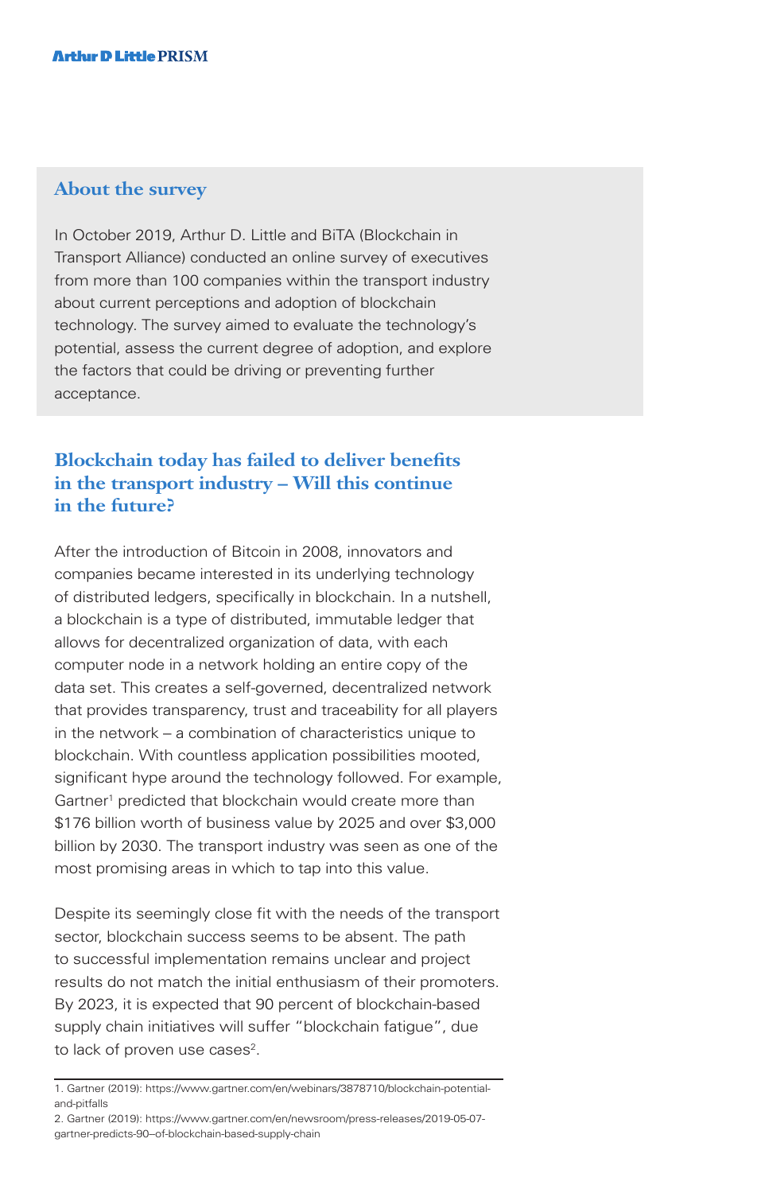# **About the survey**

In October 2019, Arthur D. Little and BiTA (Blockchain in Transport Alliance) conducted an online survey of executives from more than 100 companies within the transport industry about current perceptions and adoption of blockchain technology. The survey aimed to evaluate the technology's potential, assess the current degree of adoption, and explore the factors that could be driving or preventing further acceptance.

# **Blockchain today has failed to deliver benefits in the transport industry – Will this continue in the future?**

After the introduction of Bitcoin in 2008, innovators and companies became interested in its underlying technology of distributed ledgers, specifically in blockchain. In a nutshell, a blockchain is a type of distributed, immutable ledger that allows for decentralized organization of data, with each computer node in a network holding an entire copy of the data set. This creates a self-governed, decentralized network that provides transparency, trust and traceability for all players in the network – a combination of characteristics unique to blockchain. With countless application possibilities mooted, significant hype around the technology followed. For example, Gartner<sup>1</sup> predicted that blockchain would create more than \$176 billion worth of business value by 2025 and over \$3,000 billion by 2030. The transport industry was seen as one of the most promising areas in which to tap into this value.

Despite its seemingly close fit with the needs of the transport sector, blockchain success seems to be absent. The path to successful implementation remains unclear and project results do not match the initial enthusiasm of their promoters. By 2023, it is expected that 90 percent of blockchain-based supply chain initiatives will suffer "blockchain fatigue", due to lack of proven use cases<sup>2</sup>.

2. Gartner (2019): https://www.gartner.com/en/newsroom/press-releases/2019-05-07 gartner-predicts-90-of-blockchain-based-supply-chain

<sup>1.</sup> Gartner (2019): https://www.gartner.com/en/webinars/3878710/blockchain-potentialand-pitfalls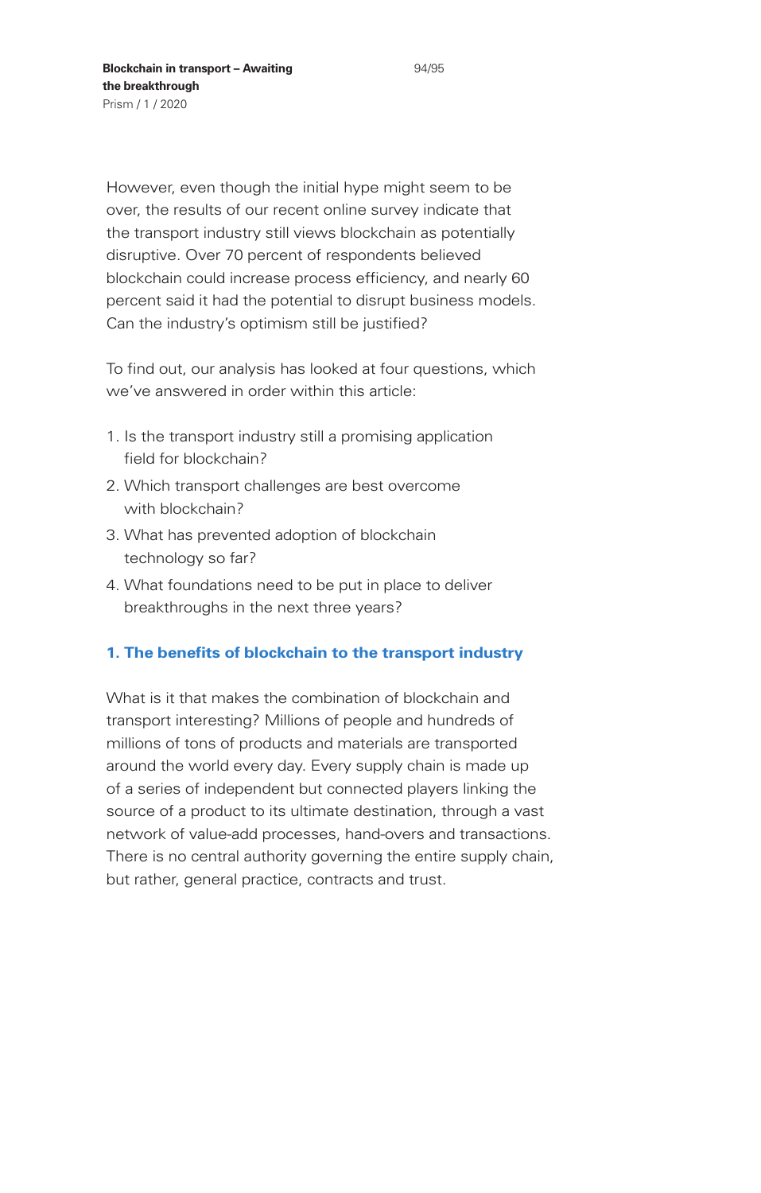However, even though the initial hype might seem to be over, the results of our recent online survey indicate that the transport industry still views blockchain as potentially disruptive. Over 70 percent of respondents believed blockchain could increase process efficiency, and nearly 60 percent said it had the potential to disrupt business models. Can the industry's optimism still be justified?

To find out, our analysis has looked at four questions, which we've answered in order within this article:

- 1. Is the transport industry still a promising application field for blockchain?
- 2. Which transport challenges are best overcome with blockchain?
- 3. What has prevented adoption of blockchain technology so far?
- 4. What foundations need to be put in place to deliver breakthroughs in the next three years?

# **1. The benefits of blockchain to the transport industry**

What is it that makes the combination of blockchain and transport interesting? Millions of people and hundreds of millions of tons of products and materials are transported around the world every day. Every supply chain is made up of a series of independent but connected players linking the source of a product to its ultimate destination, through a vast network of value-add processes, hand-overs and transactions. There is no central authority governing the entire supply chain, but rather, general practice, contracts and trust.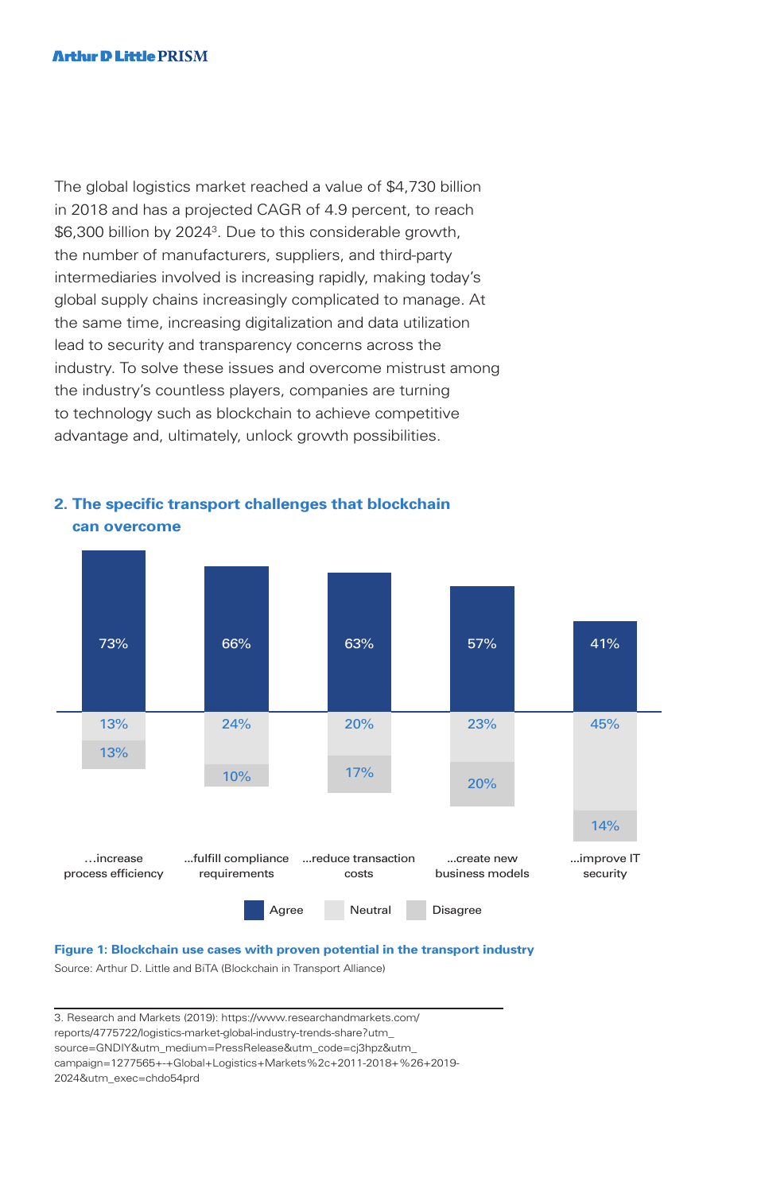The global logistics market reached a value of \$4,730 billion in 2018 and has a projected CAGR of 4.9 percent, to reach \$6,300 billion by 2024<sup>3</sup>. Due to this considerable growth, the number of manufacturers, suppliers, and third-party intermediaries involved is increasing rapidly, making today's global supply chains increasingly complicated to manage. At the same time, increasing digitalization and data utilization lead to security and transparency concerns across the industry. To solve these issues and overcome mistrust among the industry's countless players, companies are turning to technology such as blockchain to achieve competitive advantage and, ultimately, unlock growth possibilities.



# **2. The specific transport challenges that blockchain can overcome**

#### **Figure 1: Blockchain use cases with proven potential in the transport industry**

Source: Arthur D. Little and BiTA (Blockchain in Transport Alliance)

3. Research and Markets (2019): https://www.researchandmarkets.com/ reports/4775722/logistics-market-global-industry-trends-share?utm\_ source=GNDIY&utm\_medium=PressRelease&utm\_code=cj3hpz&utm\_ campaign=1277565+-+Global+Logistics+Markets%2c+2011-2018+%26+2019- 2024&utm\_exec=chdo54prd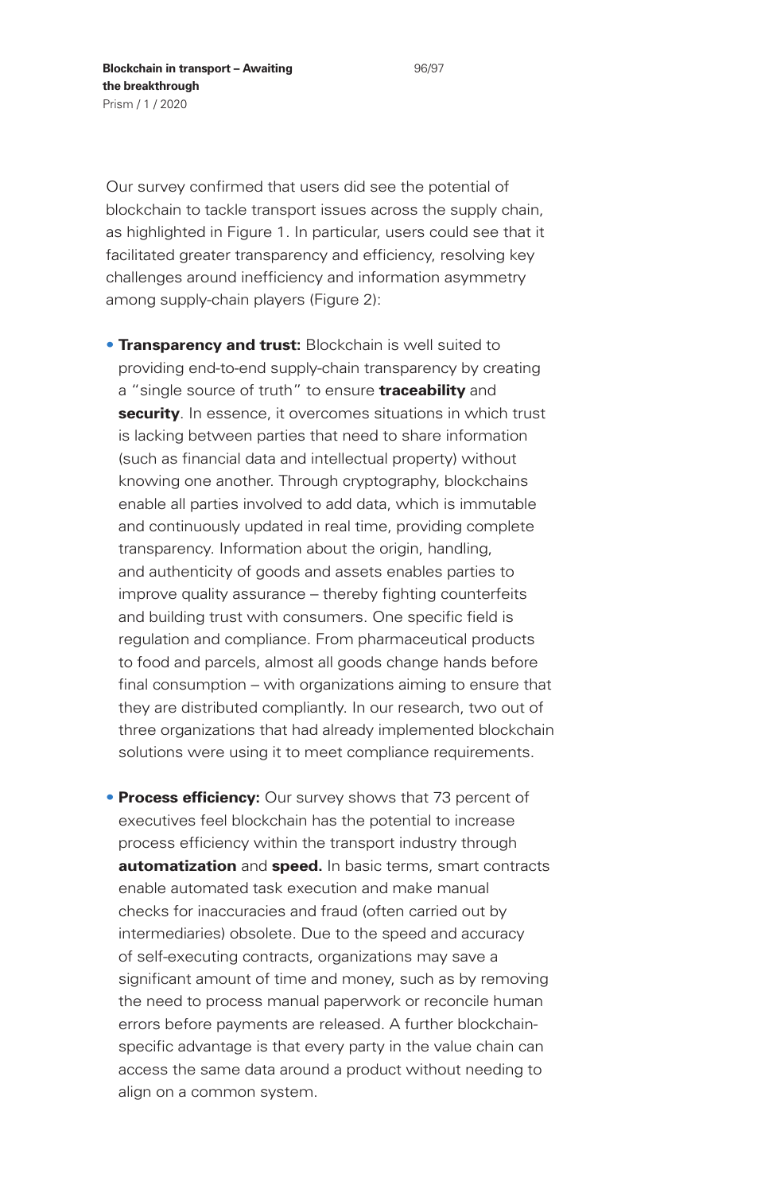**Blockchain in transport – Awaiting the breakthrough**  Prism / 1 / 2020

Our survey confirmed that users did see the potential of blockchain to tackle transport issues across the supply chain, as highlighted in Figure 1. In particular, users could see that it facilitated greater transparency and efficiency, resolving key challenges around inefficiency and information asymmetry among supply-chain players (Figure 2):

- **Transparency and trust:** Blockchain is well suited to providing end-to-end supply-chain transparency by creating a "single source of truth" to ensure **traceability** and **security**. In essence, it overcomes situations in which trust is lacking between parties that need to share information (such as financial data and intellectual property) without knowing one another. Through cryptography, blockchains enable all parties involved to add data, which is immutable and continuously updated in real time, providing complete transparency. Information about the origin, handling, and authenticity of goods and assets enables parties to improve quality assurance – thereby fighting counterfeits and building trust with consumers. One specific field is regulation and compliance. From pharmaceutical products to food and parcels, almost all goods change hands before final consumption – with organizations aiming to ensure that they are distributed compliantly. In our research, two out of three organizations that had already implemented blockchain solutions were using it to meet compliance requirements.
- **Process efficiency:** Our survey shows that 73 percent of executives feel blockchain has the potential to increase process efficiency within the transport industry through **automatization** and **speed.** In basic terms, smart contracts enable automated task execution and make manual checks for inaccuracies and fraud (often carried out by intermediaries) obsolete. Due to the speed and accuracy of self-executing contracts, organizations may save a significant amount of time and money, such as by removing the need to process manual paperwork or reconcile human errors before payments are released. A further blockchainspecific advantage is that every party in the value chain can access the same data around a product without needing to align on a common system.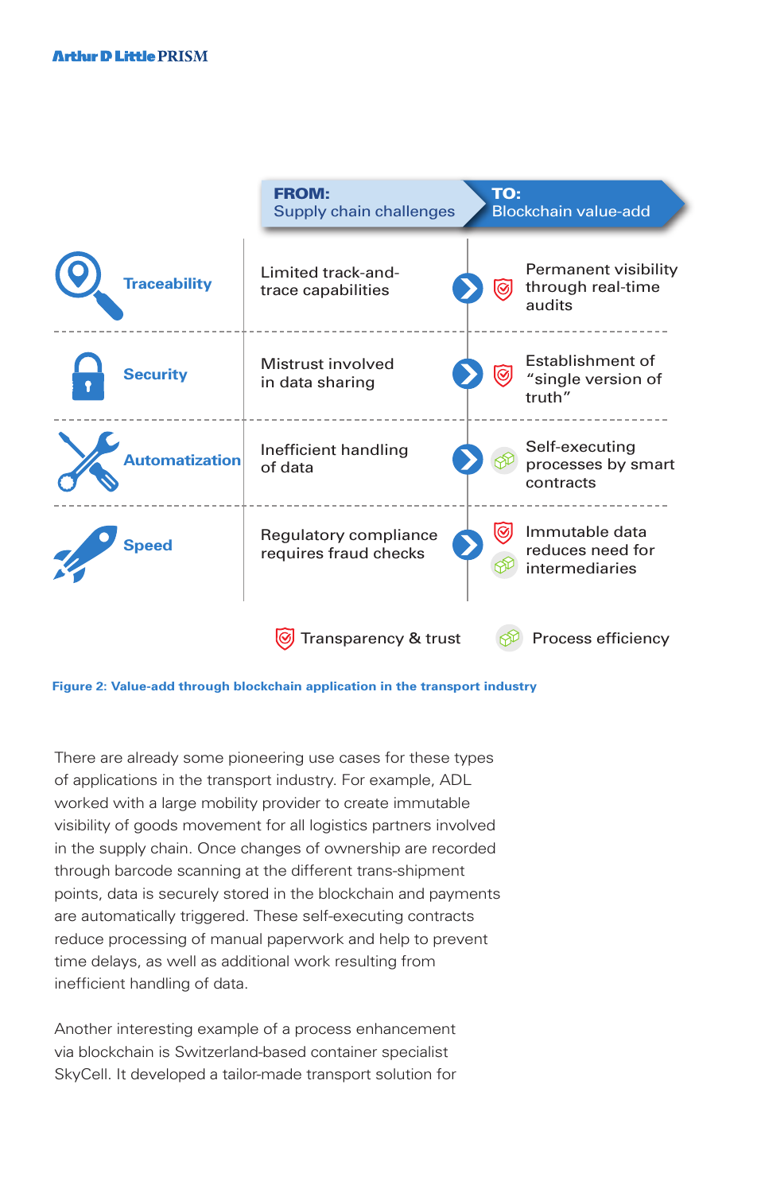

**Figure 2: Value-add through blockchain application in the transport industry**

There are already some pioneering use cases for these types of applications in the transport industry. For example, ADL worked with a large mobility provider to create immutable visibility of goods movement for all logistics partners involved in the supply chain. Once changes of ownership are recorded through barcode scanning at the different trans-shipment points, data is securely stored in the blockchain and payments are automatically triggered. These self-executing contracts reduce processing of manual paperwork and help to prevent time delays, as well as additional work resulting from inefficient handling of data.

Another interesting example of a process enhancement via blockchain is Switzerland-based container specialist SkyCell. It developed a tailor-made transport solution for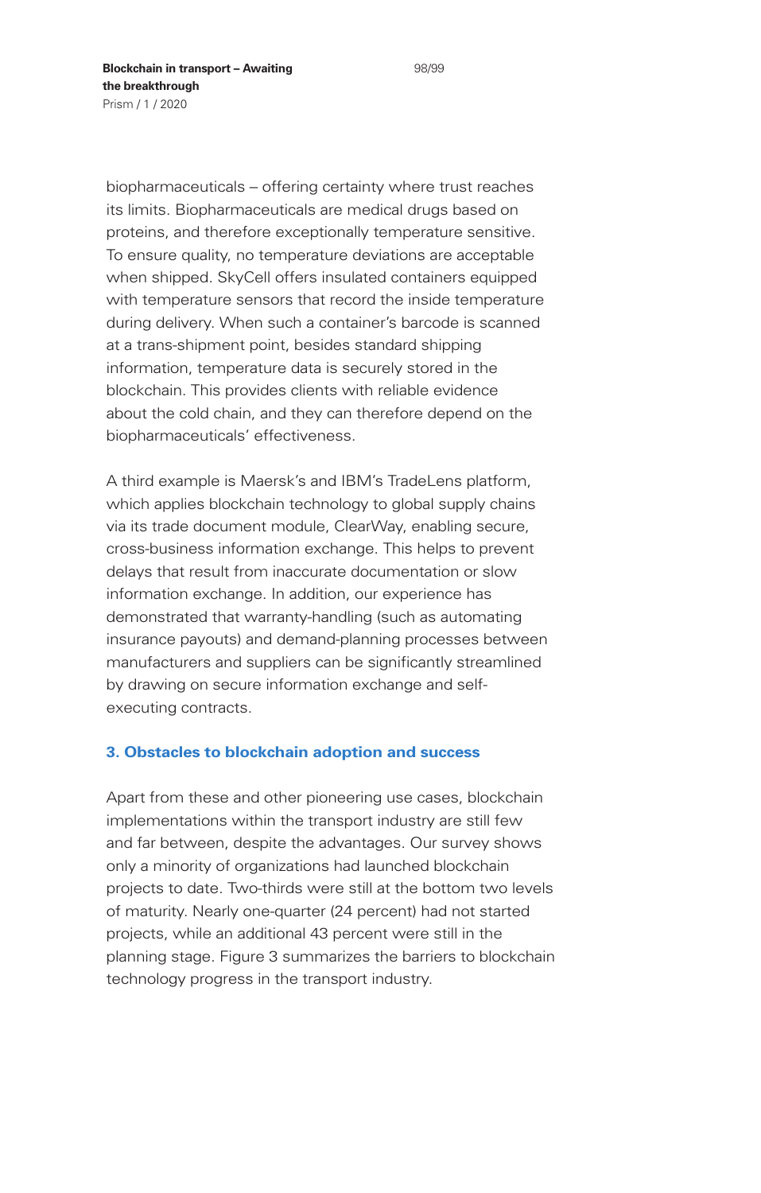biopharmaceuticals – offering certainty where trust reaches its limits. Biopharmaceuticals are medical drugs based on proteins, and therefore exceptionally temperature sensitive. To ensure quality, no temperature deviations are acceptable when shipped. SkyCell offers insulated containers equipped with temperature sensors that record the inside temperature during delivery. When such a container's barcode is scanned at a trans-shipment point, besides standard shipping information, temperature data is securely stored in the blockchain. This provides clients with reliable evidence about the cold chain, and they can therefore depend on the biopharmaceuticals' effectiveness.

A third example is Maersk's and IBM's TradeLens platform, which applies blockchain technology to global supply chains via its trade document module, ClearWay, enabling secure, cross-business information exchange. This helps to prevent delays that result from inaccurate documentation or slow information exchange. In addition, our experience has demonstrated that warranty-handling (such as automating insurance payouts) and demand-planning processes between manufacturers and suppliers can be significantly streamlined by drawing on secure information exchange and selfexecuting contracts.

## **3. Obstacles to blockchain adoption and success**

Apart from these and other pioneering use cases, blockchain implementations within the transport industry are still few and far between, despite the advantages. Our survey shows only a minority of organizations had launched blockchain projects to date. Two-thirds were still at the bottom two levels of maturity. Nearly one-quarter (24 percent) had not started projects, while an additional 43 percent were still in the planning stage. Figure 3 summarizes the barriers to blockchain technology progress in the transport industry.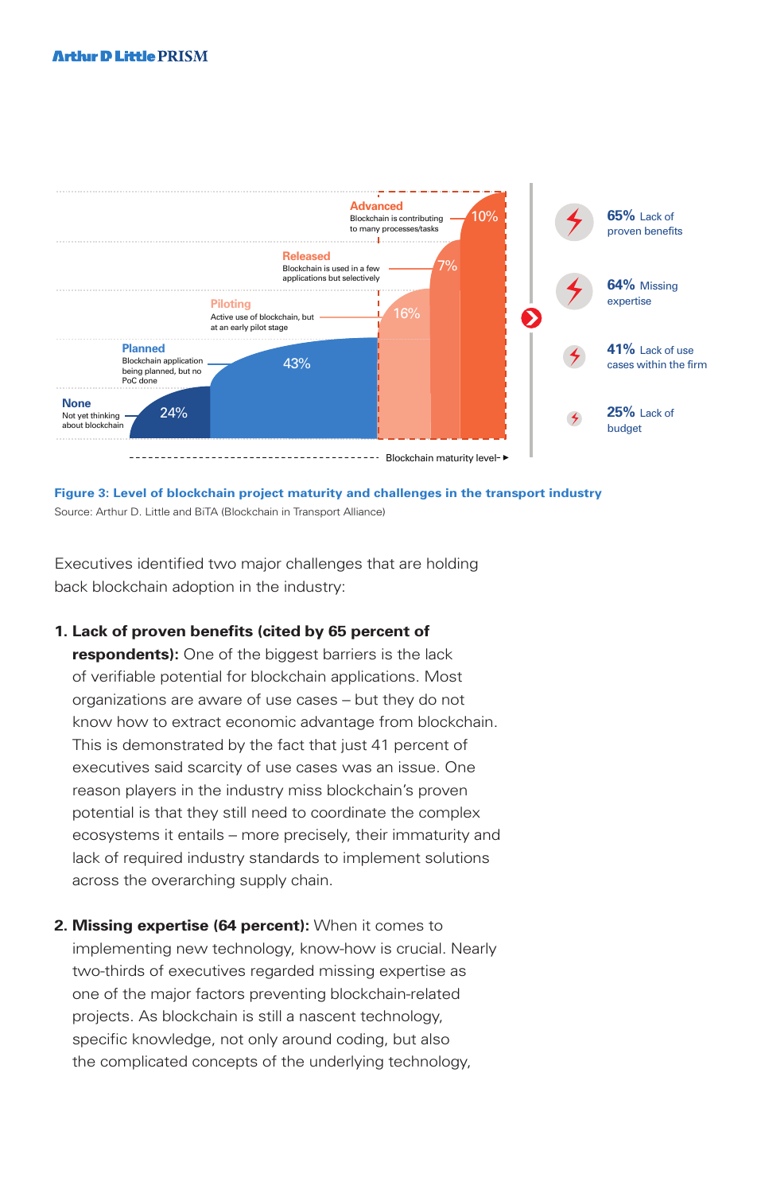

**Figure 3: Level of blockchain project maturity and challenges in the transport industry** Source: Arthur D. Little and BiTA (Blockchain in Transport Alliance)

Executives identified two major challenges that are holding back blockchain adoption in the industry:

**1. Lack of proven benefits (cited by 65 percent of** 

**respondents):** One of the biggest barriers is the lack of verifiable potential for blockchain applications. Most organizations are aware of use cases – but they do not know how to extract economic advantage from blockchain. This is demonstrated by the fact that just 41 percent of executives said scarcity of use cases was an issue. One reason players in the industry miss blockchain's proven potential is that they still need to coordinate the complex ecosystems it entails – more precisely, their immaturity and lack of required industry standards to implement solutions across the overarching supply chain.

**2. Missing expertise (64 percent):** When it comes to implementing new technology, know-how is crucial. Nearly two-thirds of executives regarded missing expertise as one of the major factors preventing blockchain-related projects. As blockchain is still a nascent technology, specific knowledge, not only around coding, but also the complicated concepts of the underlying technology,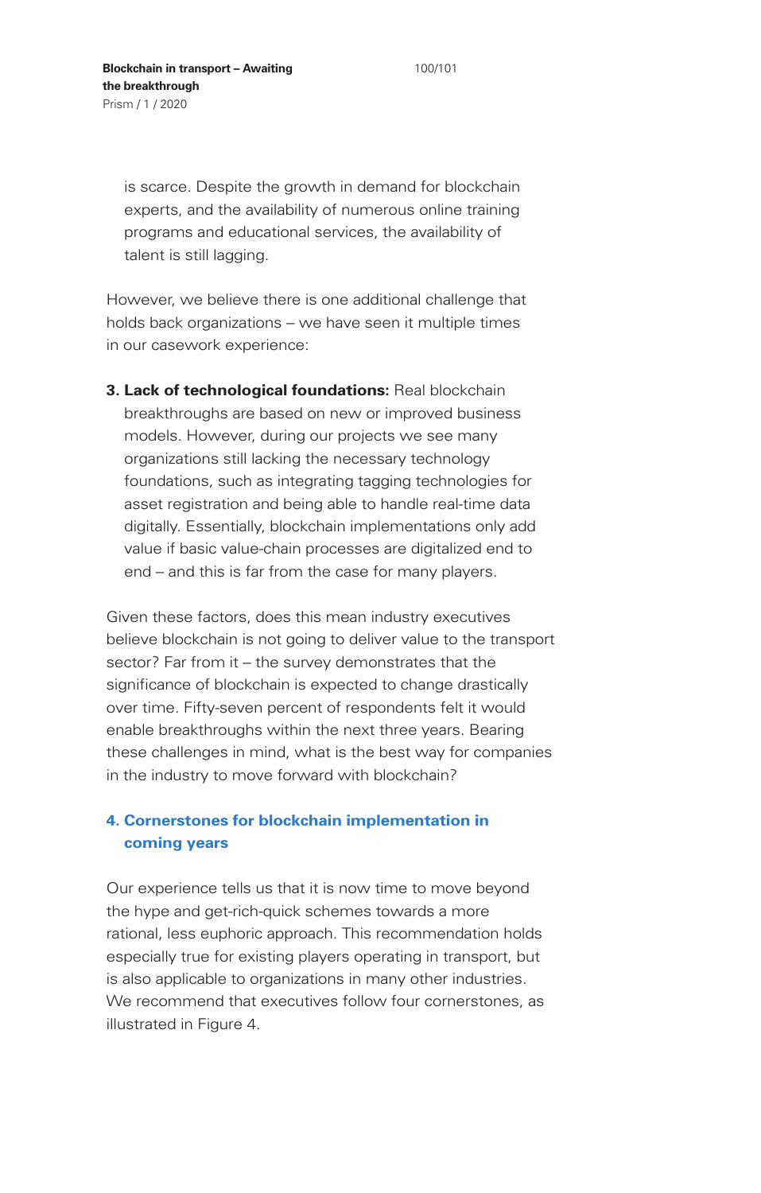**Blockchain in transport – Awaiting the breakthrough**  Prism / 1 / 2020

is scarce. Despite the growth in demand for blockchain experts, and the availability of numerous online training programs and educational services, the availability of talent is still lagging.

However, we believe there is one additional challenge that holds back organizations – we have seen it multiple times in our casework experience:

**3. Lack of technological foundations:** Real blockchain breakthroughs are based on new or improved business models. However, during our projects we see many organizations still lacking the necessary technology foundations, such as integrating tagging technologies for asset registration and being able to handle real-time data digitally. Essentially, blockchain implementations only add value if basic value-chain processes are digitalized end to end – and this is far from the case for many players.

Given these factors, does this mean industry executives believe blockchain is not going to deliver value to the transport sector? Far from it – the survey demonstrates that the significance of blockchain is expected to change drastically over time. Fifty-seven percent of respondents felt it would enable breakthroughs within the next three years. Bearing these challenges in mind, what is the best way for companies in the industry to move forward with blockchain?

# **4. Cornerstones for blockchain implementation in coming years**

Our experience tells us that it is now time to move beyond the hype and get-rich-quick schemes towards a more rational, less euphoric approach. This recommendation holds especially true for existing players operating in transport, but is also applicable to organizations in many other industries. We recommend that executives follow four cornerstones, as illustrated in Figure 4.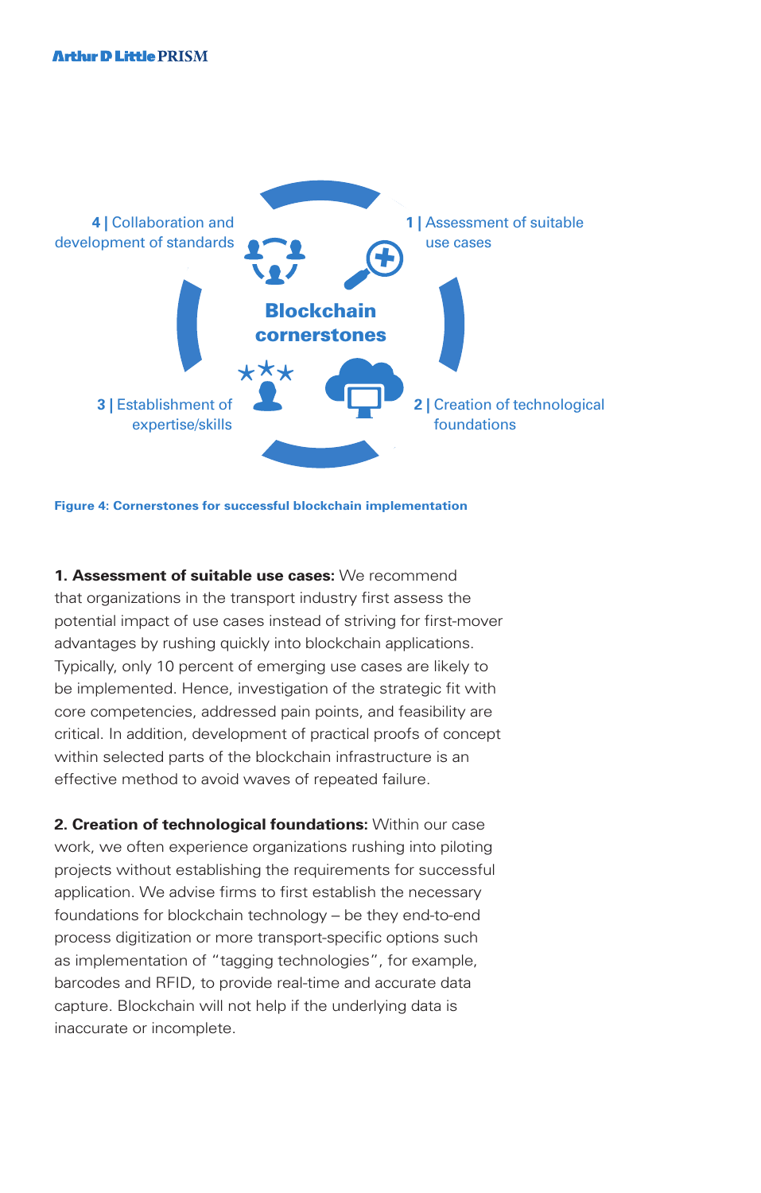

**Figure 4: Cornerstones for successful blockchain implementation**

**1. Assessment of suitable use cases:** We recommend that organizations in the transport industry first assess the potential impact of use cases instead of striving for first-mover advantages by rushing quickly into blockchain applications. Typically, only 10 percent of emerging use cases are likely to be implemented. Hence, investigation of the strategic fit with core competencies, addressed pain points, and feasibility are critical. In addition, development of practical proofs of concept within selected parts of the blockchain infrastructure is an effective method to avoid waves of repeated failure.

**2. Creation of technological foundations:** Within our case work, we often experience organizations rushing into piloting projects without establishing the requirements for successful application. We advise firms to first establish the necessary foundations for blockchain technology – be they end-to-end process digitization or more transport-specific options such as implementation of "tagging technologies", for example, barcodes and RFID, to provide real-time and accurate data capture. Blockchain will not help if the underlying data is inaccurate or incomplete.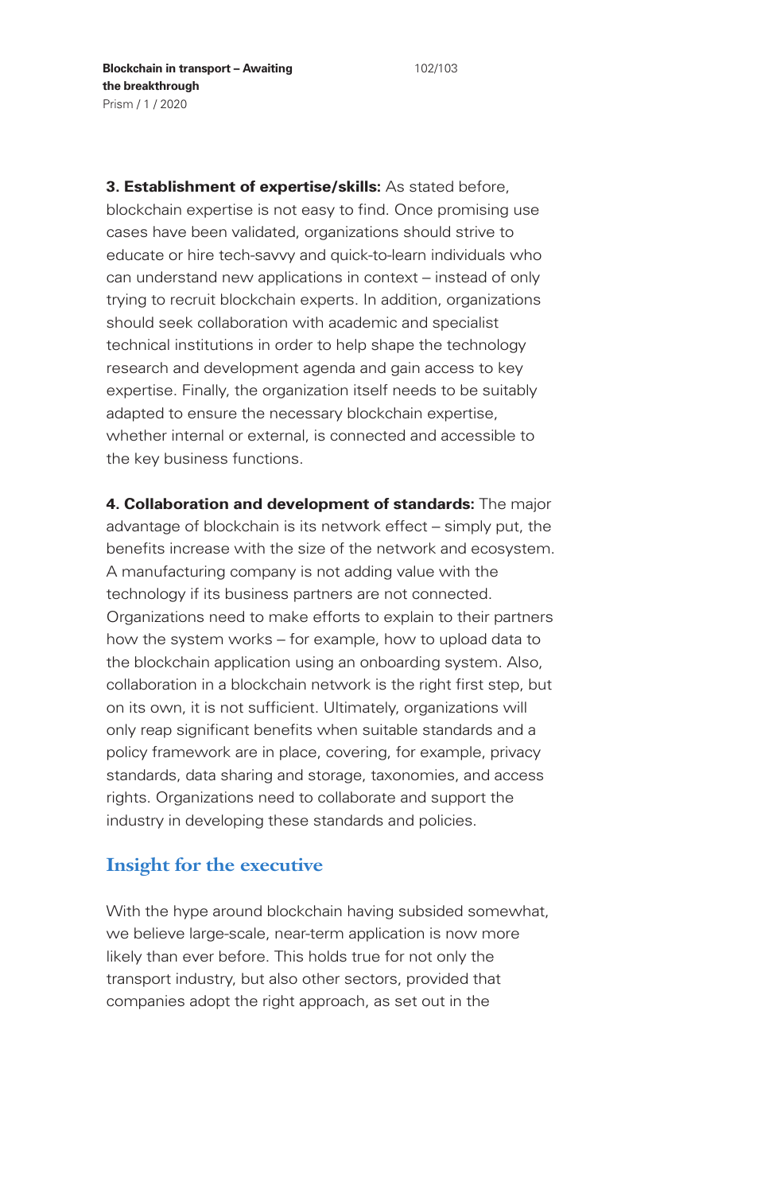**3. Establishment of expertise/skills:** As stated before, blockchain expertise is not easy to find. Once promising use cases have been validated, organizations should strive to educate or hire tech-savvy and quick-to-learn individuals who can understand new applications in context – instead of only trying to recruit blockchain experts. In addition, organizations should seek collaboration with academic and specialist technical institutions in order to help shape the technology research and development agenda and gain access to key expertise. Finally, the organization itself needs to be suitably adapted to ensure the necessary blockchain expertise, whether internal or external, is connected and accessible to the key business functions.

**4. Collaboration and development of standards:** The major advantage of blockchain is its network effect – simply put, the benefits increase with the size of the network and ecosystem. A manufacturing company is not adding value with the technology if its business partners are not connected. Organizations need to make efforts to explain to their partners how the system works – for example, how to upload data to the blockchain application using an onboarding system. Also, collaboration in a blockchain network is the right first step, but on its own, it is not sufficient. Ultimately, organizations will only reap significant benefits when suitable standards and a policy framework are in place, covering, for example, privacy standards, data sharing and storage, taxonomies, and access rights. Organizations need to collaborate and support the industry in developing these standards and policies.

# **Insight for the executive**

With the hype around blockchain having subsided somewhat, we believe large-scale, near-term application is now more likely than ever before. This holds true for not only the transport industry, but also other sectors, provided that companies adopt the right approach, as set out in the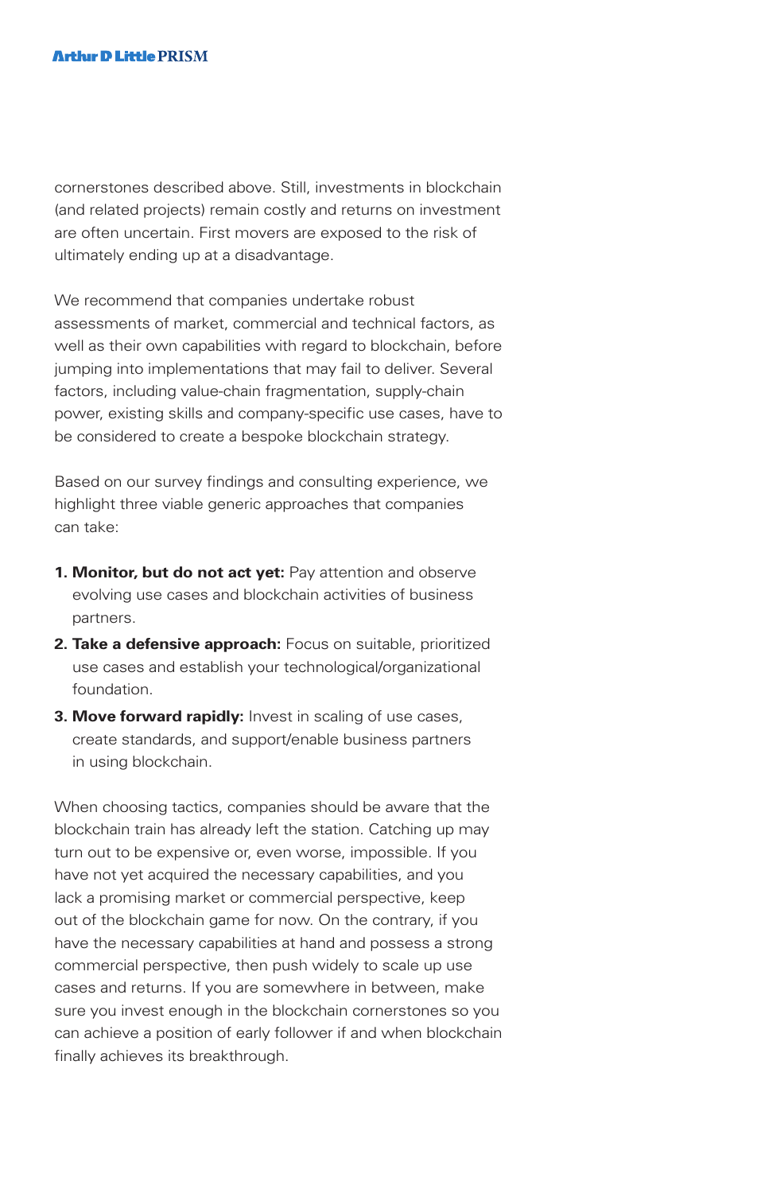cornerstones described above. Still, investments in blockchain (and related projects) remain costly and returns on investment are often uncertain. First movers are exposed to the risk of ultimately ending up at a disadvantage.

We recommend that companies undertake robust assessments of market, commercial and technical factors, as well as their own capabilities with regard to blockchain, before jumping into implementations that may fail to deliver. Several factors, including value-chain fragmentation, supply-chain power, existing skills and company-specific use cases, have to be considered to create a bespoke blockchain strategy.

Based on our survey findings and consulting experience, we highlight three viable generic approaches that companies can take:

- **1. Monitor, but do not act yet:** Pay attention and observe evolving use cases and blockchain activities of business partners.
- **2. Take a defensive approach:** Focus on suitable, prioritized use cases and establish your technological/organizational foundation.
- **3. Move forward rapidly:** Invest in scaling of use cases, create standards, and support/enable business partners in using blockchain.

When choosing tactics, companies should be aware that the blockchain train has already left the station. Catching up may turn out to be expensive or, even worse, impossible. If you have not yet acquired the necessary capabilities, and you lack a promising market or commercial perspective, keep out of the blockchain game for now. On the contrary, if you have the necessary capabilities at hand and possess a strong commercial perspective, then push widely to scale up use cases and returns. If you are somewhere in between, make sure you invest enough in the blockchain cornerstones so you can achieve a position of early follower if and when blockchain finally achieves its breakthrough.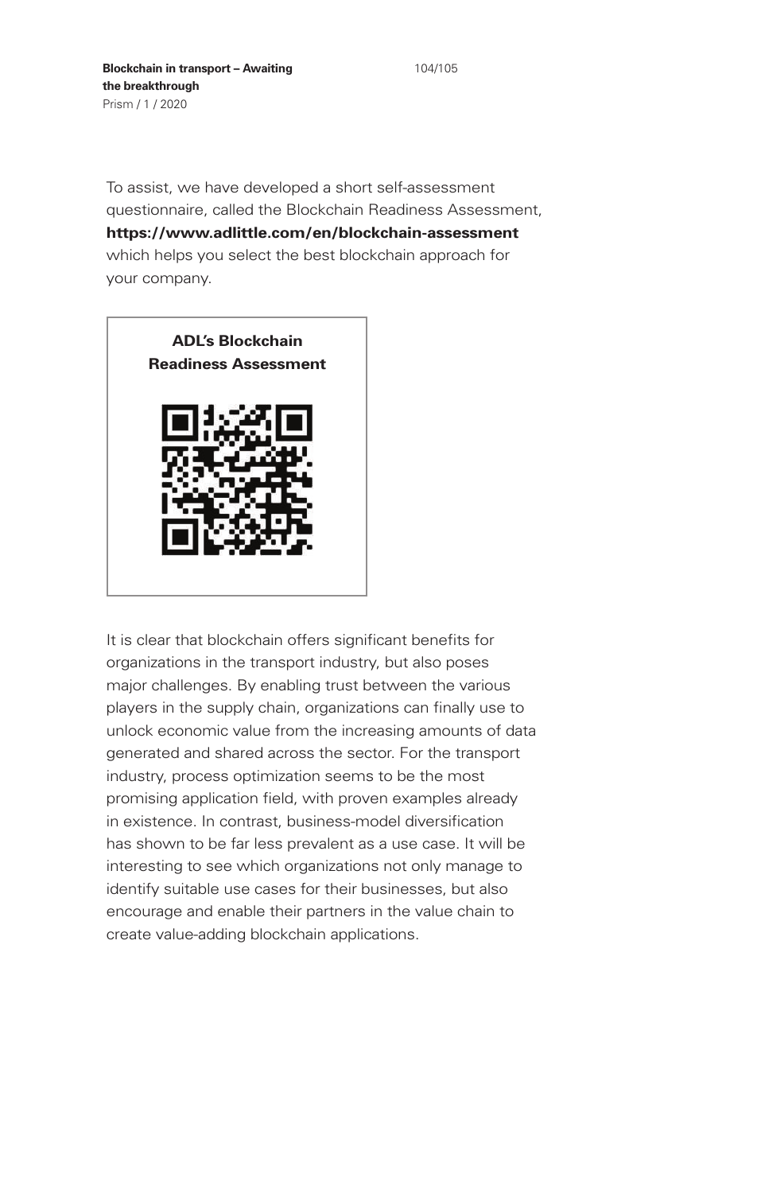To assist, we have developed a short self-assessment questionnaire, called the Blockchain Readiness Assessment, **https://www.adlittle.com/en/blockchain-assessment** which helps you select the best blockchain approach for your company.



It is clear that blockchain offers significant benefits for organizations in the transport industry, but also poses major challenges. By enabling trust between the various players in the supply chain, organizations can finally use to unlock economic value from the increasing amounts of data generated and shared across the sector. For the transport industry, process optimization seems to be the most promising application field, with proven examples already in existence. In contrast, business-model diversification has shown to be far less prevalent as a use case. It will be interesting to see which organizations not only manage to identify suitable use cases for their businesses, but also encourage and enable their partners in the value chain to create value-adding blockchain applications.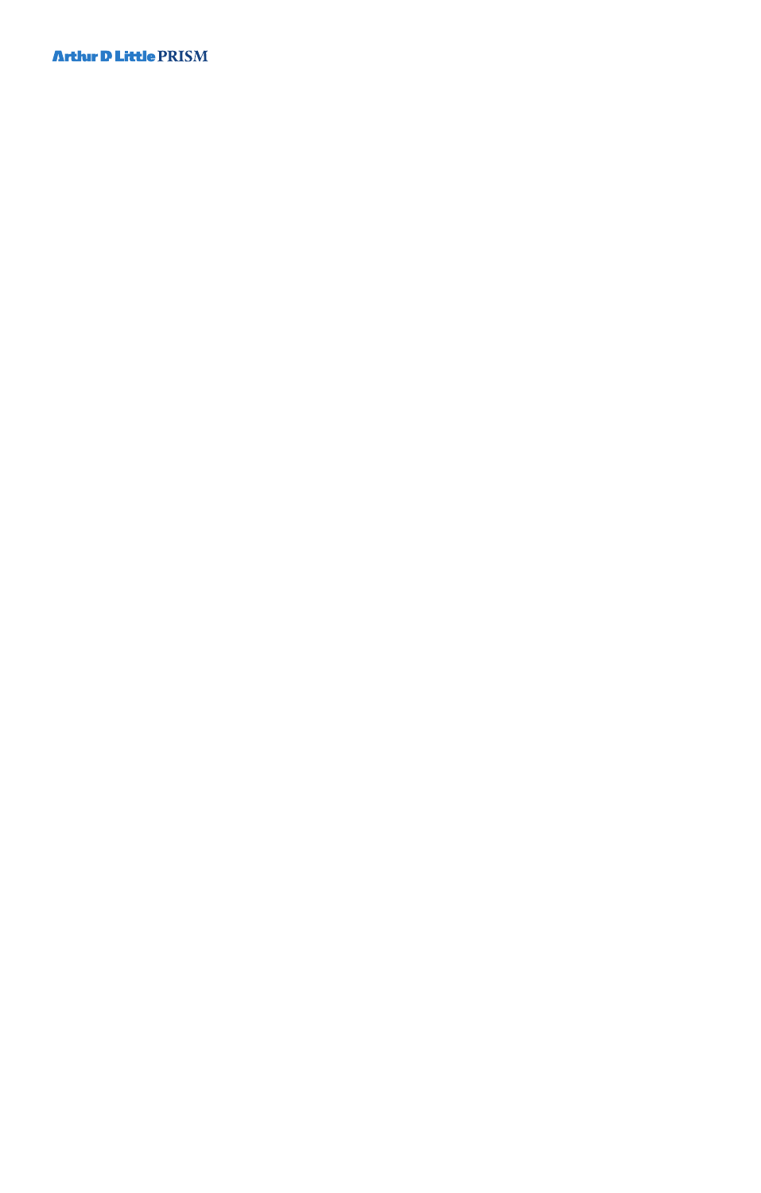**Artlur D Little PRISM**